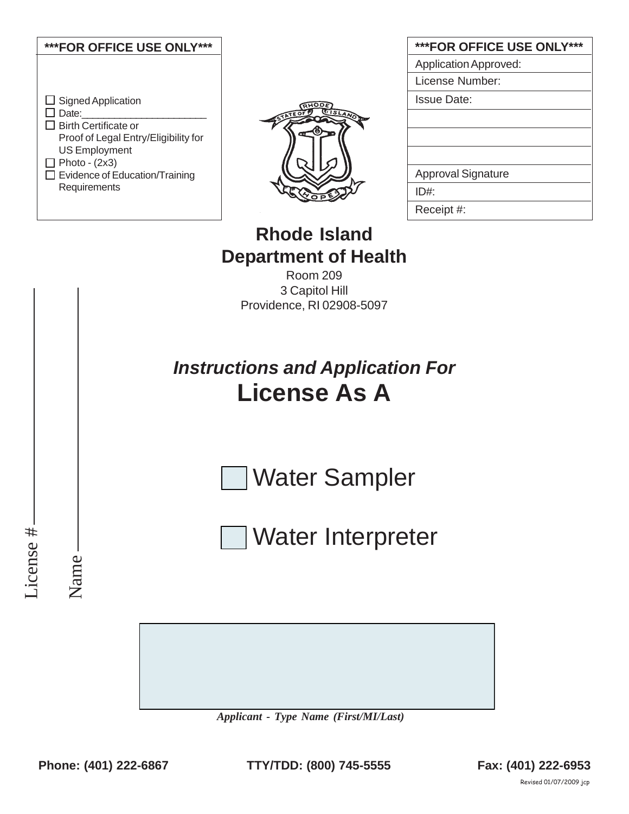



| <b>***FOR OFFICE USE ONLY***</b> |
|----------------------------------|
| <b>Application Approved:</b>     |
| License Number:                  |
| Issue Date:                      |
|                                  |
|                                  |
|                                  |
| <b>Approval Signature</b>        |
| ID#                              |
| Receipt #:                       |

## **Rhode Island Department of Health**

Room 209 3 Capitol Hill Providence, RI 02908-5097

# *Instructions and Application For* **License As A**

Water Sampler

Water Interpreter

*Applicant - Type Name (First/MI/Last)*

License #

License #

Name

**Phone: (401) 222-6867 Fax: (401) 222-6953 TTY/TDD: (800) 745-5555**

Revised 01/07/2009 jcp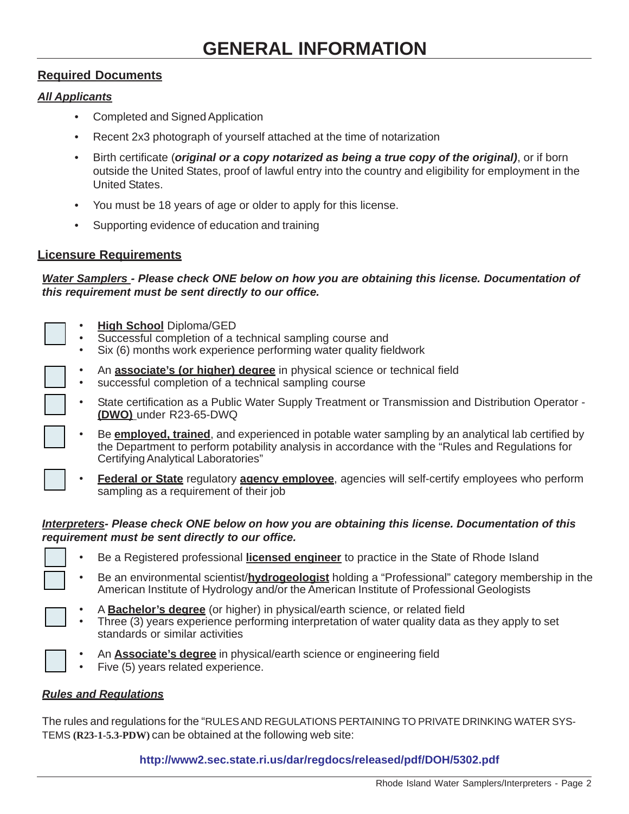#### **Required Documents**

#### *All Applicants*

- Completed and Signed Application
- Recent 2x3 photograph of yourself attached at the time of notarization
- Birth certificate (*original or a copy notarized as being a true copy of the original)*, or if born outside the United States, proof of lawful entry into the country and eligibility for employment in the United States.
- You must be 18 years of age or older to apply for this license.
- Supporting evidence of education and training

#### **Licensure Requirements**

*Water Samplers - Please check ONE below on how you are obtaining this license. Documentation of this requirement must be sent directly to our office.*

- **High School** Diploma/GED
- Successful completion of a technical sampling course and
- Six (6) months work experience performing water quality fieldwork
- An **associate's (or higher) degree** in physical science or technical field
- successful completion of a technical sampling course
- State certification as a Public Water Supply Treatment or Transmission and Distribution Operator **(DWO)** under R23-65-DWQ
- Be **employed, trained**, and experienced in potable water sampling by an analytical lab certified by the Department to perform potability analysis in accordance with the "Rules and Regulations for Certifying Analytical Laboratories"
- **Federal or State** regulatory **agency employee**, agencies will self-certify employees who perform sampling as a requirement of their job

#### *Interpreters- Please check ONE below on how you are obtaining this license. Documentation of this requirement must be sent directly to our office.*

- Be a Registered professional **licensed engineer** to practice in the State of Rhode Island
- Be an environmental scientist/**hydrogeologist** holding a "Professional" category membership in the American Institute of Hydrology and/or the American Institute of Professional Geologists
- A **Bachelor's degree** (or higher) in physical/earth science, or related field
- Three (3) years experience performing interpretation of water quality data as they apply to set standards or similar activities
- An **Associate's degree** in physical/earth science or engineering field
- Five (5) years related experience.

#### *Rules and Regulations*

The rules and regulations for the "RULES AND REGULATIONS PERTAINING TO PRIVATE DRINKING WATER SYS-TEMS **(R23-1-5.3-PDW)** can be obtained at the following web site:

#### **http://www2.sec.state.ri.us/dar/regdocs/released/pdf/DOH/5302.pdf**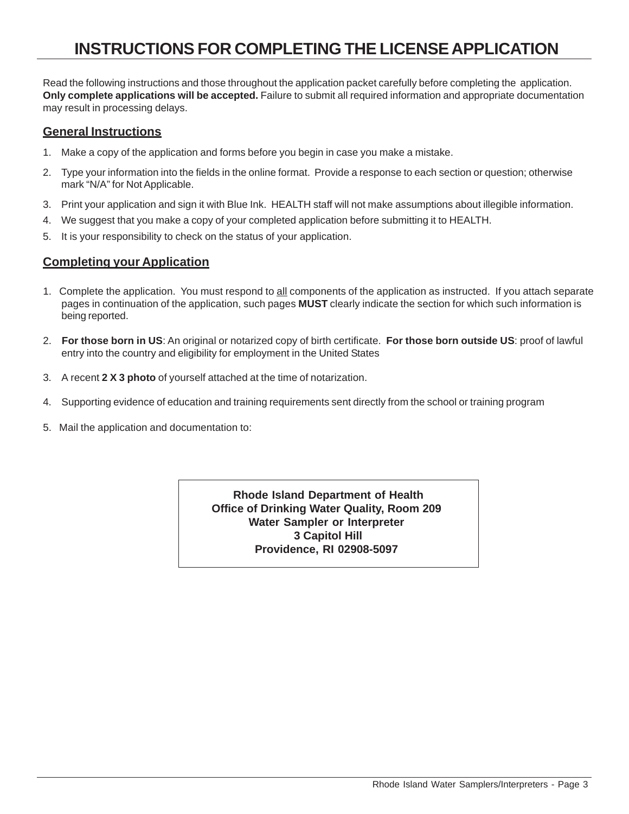## **INSTRUCTIONS FOR COMPLETING THE LICENSE APPLICATION**

Read the following instructions and those throughout the application packet carefully before completing the application. **Only complete applications will be accepted.** Failure to submit all required information and appropriate documentation may result in processing delays.

#### **General Instructions**

- 1. Make a copy of the application and forms before you begin in case you make a mistake.
- 2. Type your information into the fields in the online format. Provide a response to each section or question; otherwise mark "N/A" for Not Applicable.
- 3. Print your application and sign it with Blue Ink. HEALTH staff will not make assumptions about illegible information.
- 4. We suggest that you make a copy of your completed application before submitting it to HEALTH.
- 5. It is your responsibility to check on the status of your application.

#### **Completing your Application**

- 1. Complete the application. You must respond to all components of the application as instructed. If you attach separate pages in continuation of the application, such pages **MUST** clearly indicate the section for which such information is being reported.
- 2. **For those born in US**: An original or notarized copy of birth certificate. **For those born outside US**: proof of lawful entry into the country and eligibility for employment in the United States
- 3. A recent **2 X 3 photo** of yourself attached at the time of notarization.
- 4. Supporting evidence of education and training requirements sent directly from the school or training program
- 5. Mail the application and documentation to:

**Rhode Island Department of Health Office of Drinking Water Quality, Room 209 Water Sampler or Interpreter 3 Capitol Hill Providence, RI 02908-5097**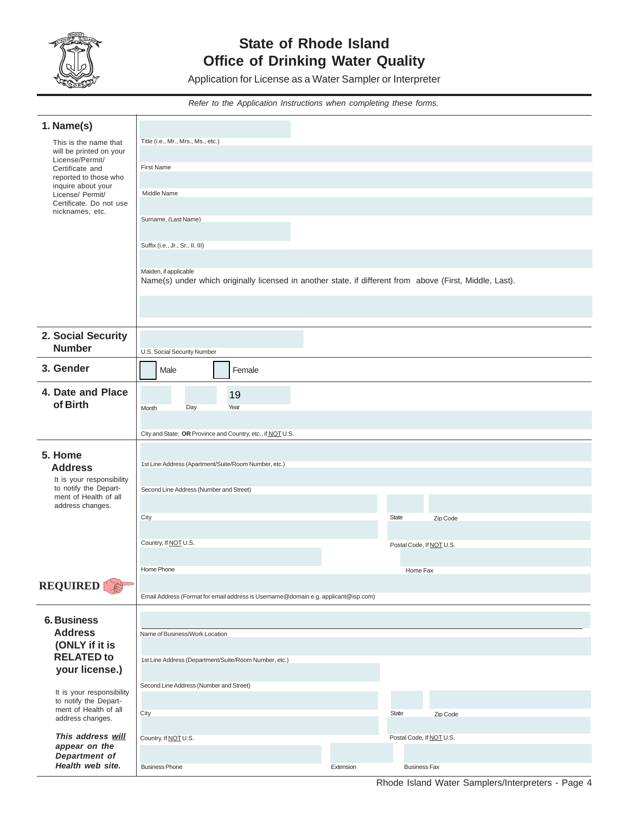

### **State of Rhode Island Office of Drinking Water Quality**

Application for License as a Water Sampler or Interpreter

*Refer to the Application Instructions when completing these forms.*

| 1. Name(s)                                         |                                                                                                                                   |           |                          |          |  |
|----------------------------------------------------|-----------------------------------------------------------------------------------------------------------------------------------|-----------|--------------------------|----------|--|
| This is the name that                              | Title (i.e., Mr., Mrs., Ms., etc.)                                                                                                |           |                          |          |  |
| will be printed on your<br>License/Permit/         | First Name                                                                                                                        |           |                          |          |  |
| Certificate and<br>reported to those who           |                                                                                                                                   |           |                          |          |  |
| inquire about your<br>License/ Permit/             | Middle Name                                                                                                                       |           |                          |          |  |
| Certificate. Do not use<br>nicknames, etc.         |                                                                                                                                   |           |                          |          |  |
|                                                    | Surname, (Last Name)                                                                                                              |           |                          |          |  |
|                                                    | Suffix (i.e., Jr., Sr., II, III)                                                                                                  |           |                          |          |  |
|                                                    |                                                                                                                                   |           |                          |          |  |
|                                                    | Maiden, if applicable<br>Name(s) under which originally licensed in another state, if different from above (First, Middle, Last). |           |                          |          |  |
|                                                    |                                                                                                                                   |           |                          |          |  |
|                                                    |                                                                                                                                   |           |                          |          |  |
|                                                    |                                                                                                                                   |           |                          |          |  |
| 2. Social Security<br><b>Number</b>                | U.S. Social Security Number                                                                                                       |           |                          |          |  |
| 3. Gender                                          | Female                                                                                                                            |           |                          |          |  |
|                                                    | Male                                                                                                                              |           |                          |          |  |
| 4. Date and Place<br>of Birth                      | 19                                                                                                                                |           |                          |          |  |
|                                                    | Day<br>Year<br><b>Month</b>                                                                                                       |           |                          |          |  |
|                                                    | City and State; OR Province and Country, etc., if NOTU.S.                                                                         |           |                          |          |  |
| 5. Home                                            |                                                                                                                                   |           |                          |          |  |
| <b>Address</b>                                     | 1st Line Address (Apartment/Suite/Room Number, etc.)                                                                              |           |                          |          |  |
| It is your responsibility<br>to notify the Depart- | Second Line Address (Number and Street)                                                                                           |           |                          |          |  |
| ment of Health of all<br>address changes.          |                                                                                                                                   |           |                          |          |  |
|                                                    | City                                                                                                                              |           | <b>State</b>             | Zip Code |  |
|                                                    |                                                                                                                                   |           |                          |          |  |
|                                                    | Country, If NOT U.S.                                                                                                              |           | Postal Code, If NOT U.S. |          |  |
|                                                    | Home Phone                                                                                                                        |           | Home Fax                 |          |  |
| <b>REQUIRED</b>                                    |                                                                                                                                   |           |                          |          |  |
|                                                    | Email Address (Format for email address is Username@domain e.g. applicant@isp.com)                                                |           |                          |          |  |
| <b>6. Business</b>                                 |                                                                                                                                   |           |                          |          |  |
| <b>Address</b>                                     | Name of Business/Work Location                                                                                                    |           |                          |          |  |
| (ONLY if it is<br><b>RELATED to</b>                |                                                                                                                                   |           |                          |          |  |
| your license.)                                     | 1st Line Address (Department/Suite/Room Number, etc.)                                                                             |           |                          |          |  |
| It is your responsibility                          | Second Line Address (Number and Street)                                                                                           |           |                          |          |  |
| to notify the Depart-                              |                                                                                                                                   |           |                          |          |  |
| ment of Health of all<br>address changes.          | City                                                                                                                              |           | State                    | Zip Code |  |
| This address will                                  | Country, If NOT U.S.                                                                                                              |           | Postal Code, If NOT U.S. |          |  |
| appear on the<br>Department of                     |                                                                                                                                   |           |                          |          |  |
| Health web site.                                   | <b>Business Phone</b>                                                                                                             | Extension | <b>Business Fax</b>      |          |  |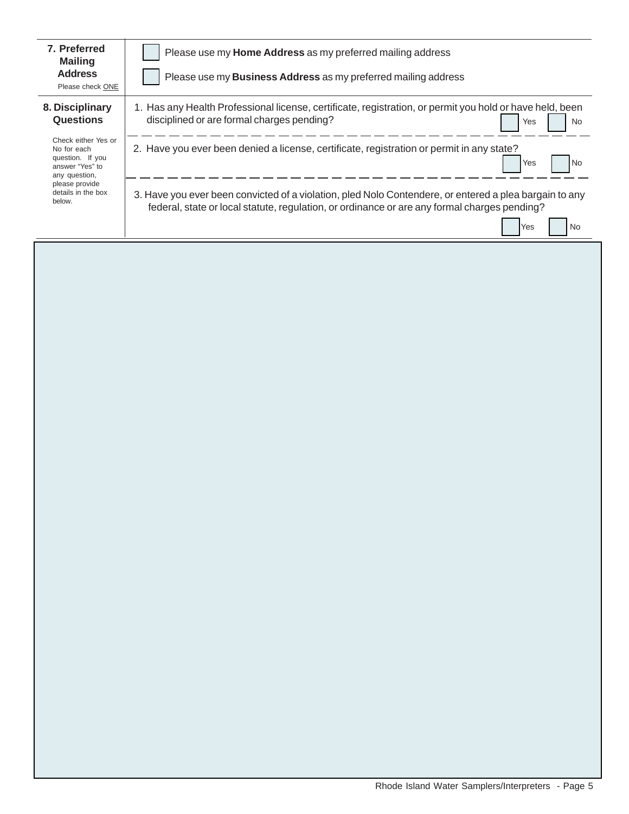| 7. Preferred<br><b>Mailing</b>                                                                                                               | Please use my Home Address as my preferred mailing address                                                                                                                                             |  |  |  |
|----------------------------------------------------------------------------------------------------------------------------------------------|--------------------------------------------------------------------------------------------------------------------------------------------------------------------------------------------------------|--|--|--|
| <b>Address</b><br>Please check ONE                                                                                                           | Please use my <b>Business Address</b> as my preferred mailing address                                                                                                                                  |  |  |  |
| 8. Disciplinary<br>Questions                                                                                                                 | 1. Has any Health Professional license, certificate, registration, or permit you hold or have held, been<br>disciplined or are formal charges pending?<br><b>No</b><br>Yes                             |  |  |  |
| Check either Yes or<br>No for each<br>question. If you<br>answer "Yes" to<br>any question,<br>please provide<br>details in the box<br>below. | 2. Have you ever been denied a license, certificate, registration or permit in any state?<br>l No<br>Yes                                                                                               |  |  |  |
|                                                                                                                                              | 3. Have you ever been convicted of a violation, pled Nolo Contendere, or entered a plea bargain to any<br>federal, state or local statute, regulation, or ordinance or are any formal charges pending? |  |  |  |
|                                                                                                                                              | No<br>Yes                                                                                                                                                                                              |  |  |  |